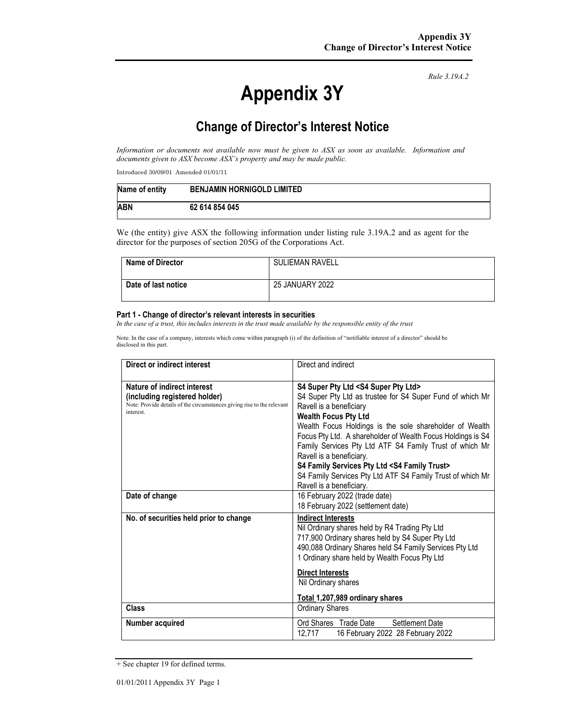# **Appendix 3Y**

*Rule 3.19A.2*

# **Change of Director's Interest Notice**

*Information or documents not available now must be given to ASX as soon as available. Information and documents given to ASX become ASX's property and may be made public.* 

Introduced 30/09/01 Amended 01/01/11

| Name of entity | <b>BENJAMIN HORNIGOLD LIMITED</b> |
|----------------|-----------------------------------|
| <b>ABN</b>     | 62 614 854 045                    |

We (the entity) give ASX the following information under listing rule 3.19A.2 and as agent for the director for the purposes of section 205G of the Corporations Act.

| <b>Name of Director</b> | <b>SULIEMAN RAVELL</b> |
|-------------------------|------------------------|
| Date of last notice     | 25 JANUARY 2022        |

#### **Part 1 - Change of director's relevant interests in securities**

*In the case of a trust, this includes interests in the trust made available by the responsible entity of the trust* 

Note: In the case of a company, interests which come within paragraph (i) of the definition of "notifiable interest of a director" should be disclosed in this part.

| Direct or indirect interest                                                                                                                         | Direct and indirect                                                                                                                                                                                                                                                                                                                                                                                                                                                                                                                                      |  |
|-----------------------------------------------------------------------------------------------------------------------------------------------------|----------------------------------------------------------------------------------------------------------------------------------------------------------------------------------------------------------------------------------------------------------------------------------------------------------------------------------------------------------------------------------------------------------------------------------------------------------------------------------------------------------------------------------------------------------|--|
| Nature of indirect interest<br>(including registered holder)<br>Note: Provide details of the circumstances giving rise to the relevant<br>interest. | S4 Super Pty Ltd <s4 ltd="" pty="" super=""><br/>S4 Super Pty Ltd as trustee for S4 Super Fund of which Mr<br/>Ravell is a beneficiary<br/><b>Wealth Focus Pty Ltd</b><br/>Wealth Focus Holdings is the sole shareholder of Wealth<br/>Focus Pty Ltd. A shareholder of Wealth Focus Holdings is S4<br/>Family Services Pty Ltd ATF S4 Family Trust of which Mr<br/>Ravell is a beneficiary.<br/>S4 Family Services Pty Ltd <s4 family="" trust=""><br/>S4 Family Services Pty Ltd ATF S4 Family Trust of which Mr<br/>Ravell is a beneficiary.</s4></s4> |  |
| Date of change                                                                                                                                      | 16 February 2022 (trade date)<br>18 February 2022 (settlement date)                                                                                                                                                                                                                                                                                                                                                                                                                                                                                      |  |
| No. of securities held prior to change                                                                                                              | <b>Indirect Interests</b><br>Nil Ordinary shares held by R4 Trading Pty Ltd<br>717,900 Ordinary shares held by S4 Super Pty Ltd<br>490,088 Ordinary Shares held S4 Family Services Pty Ltd<br>1 Ordinary share held by Wealth Focus Pty Ltd<br><b>Direct Interests</b><br>Nil Ordinary shares<br>Total 1,207,989 ordinary shares                                                                                                                                                                                                                         |  |
| Class                                                                                                                                               | <b>Ordinary Shares</b>                                                                                                                                                                                                                                                                                                                                                                                                                                                                                                                                   |  |
| Number acquired                                                                                                                                     | Ord Shares Trade Date<br>Settlement Date<br>12,717<br>16 February 2022 28 February 2022                                                                                                                                                                                                                                                                                                                                                                                                                                                                  |  |

<sup>+</sup> See chapter 19 for defined terms.